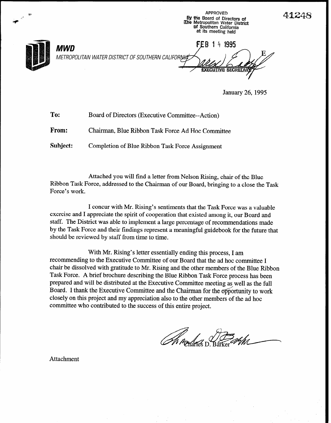

January 26,1995

| To:   | Board of Directors (Executive Committee--Action)  |
|-------|---------------------------------------------------|
| From: | Chairman, Blue Ribbon Task Force Ad Hoc Committee |

Subject: Completion of Blue Ribbon Task Force Assignment

Attached you will find a letter from Nelson Rising, chair of the Blue Ribbon Task Force, addressed to the Chairman of our Board, bringing to a close the Task Force's work.

I concur with Mr. Rising's sentiments that the Task Force was a valuable exercise and I appreciate the spirit of cooperation that existed among it, our Board and staff. The District was able to implement a large percentage of recommendations made by the Task Force and their findings represent a meaningful guidebook for the future that should be reviewed by staff from time to time.

With Mr. Rising's letter essentially ending this process, I am recommending to the Executive Committee of our Board that the ad hoc committee I chair be dissolved with gratitude to Mr. Rising and the other members of the Blue Ribbon Task Force. A brief brochure describing the Blue Ribbon Task Force process has been prepared and will be distributed at the Executive Committee meeting as well as the full Board. I thank the Executive Committee and the Chairman for the opportunity to work closely on this project and my appreciation also to the other members of the ad hoc committee who contributed to the success of this entire project.

Attachment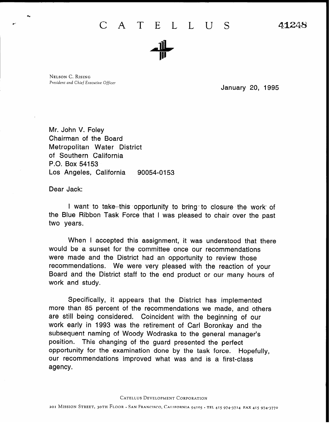## C A T E L L U S 41248



NELSON C. RISING President and Chief Executive Officer

January 20, 1995

Mr. John V. Foley Chairman of the Board Metropolitan Water District of Southern California P.O. Box 54153 Los Angeles, California 90054-0153

Dear Jack:

I want to take this opportunity to bring to closure the work of the Blue Ribbon Task Force that I was pleased to chair over the past two years.

When I accepted this assignment, it was understood that there would be a sunset for the committee once our recommendations were made and the District had an opportunity to review those recommendations. We were very pleased with the reaction of your Board and the District staff to the end product or our many hours of work and study.

Specifically, it appears that the District has implemented more than 85 percent of the recommendations we made, and others are still being considered. Coincident with the beginning of our work early in 1993 was the retirement of Carl Boronkay and the subsequent naming of Woody Wodraska to the general manager's position. This changing of the guard presented the perfect opportunity for the examination done by the task force. Hopefully, our recommendations improved what was and is a first-class agency.